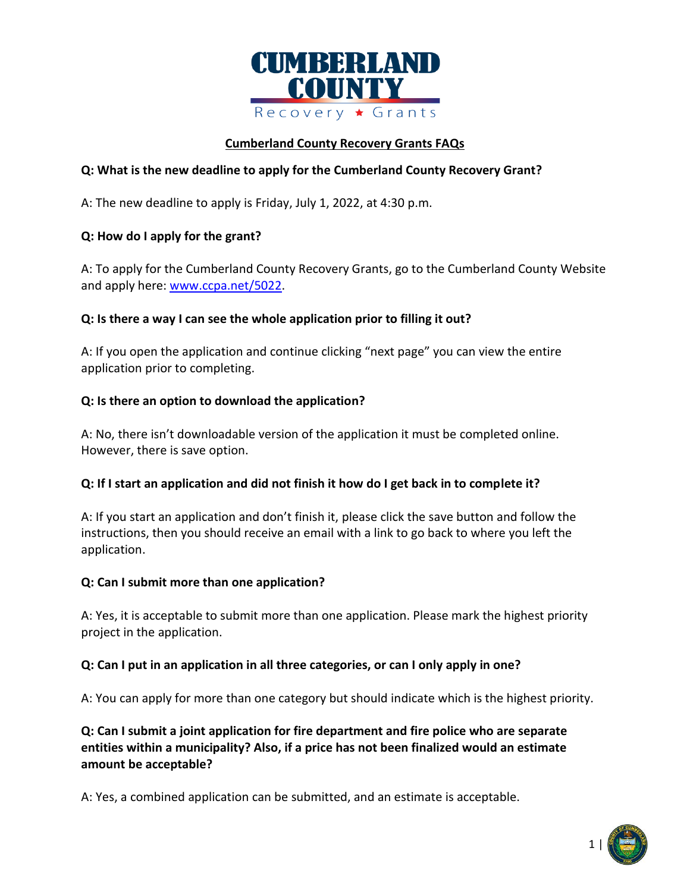

### **Cumberland County Recovery Grants FAQs**

## **Q: What is the new deadline to apply for the Cumberland County Recovery Grant?**

A: The new deadline to apply is Friday, July 1, 2022, at 4:30 p.m.

### **Q: How do I apply for the grant?**

A: To apply for the Cumberland County Recovery Grants, go to the Cumberland County Website and apply here: [www.ccpa.net/5022.](https://www.ccpa.net/5022/Cumberland-County-Recovery-Grants)

### **Q: Is there a way I can see the whole application prior to filling it out?**

A: If you open the application and continue clicking "next page" you can view the entire application prior to completing.

### **Q: Is there an option to download the application?**

A: No, there isn't downloadable version of the application it must be completed online. However, there is save option.

### **Q: If I start an application and did not finish it how do I get back in to complete it?**

A: If you start an application and don't finish it, please click the save button and follow the instructions, then you should receive an email with a link to go back to where you left the application.

### **Q: Can I submit more than one application?**

A: Yes, it is acceptable to submit more than one application. Please mark the highest priority project in the application.

### **Q: Can I put in an application in all three categories, or can I only apply in one?**

A: You can apply for more than one category but should indicate which is the highest priority.

**Q: Can I submit a joint application for fire department and fire police who are separate entities within a municipality? Also, if a price has not been finalized would an estimate amount be acceptable?**

A: Yes, a combined application can be submitted, and an estimate is acceptable.

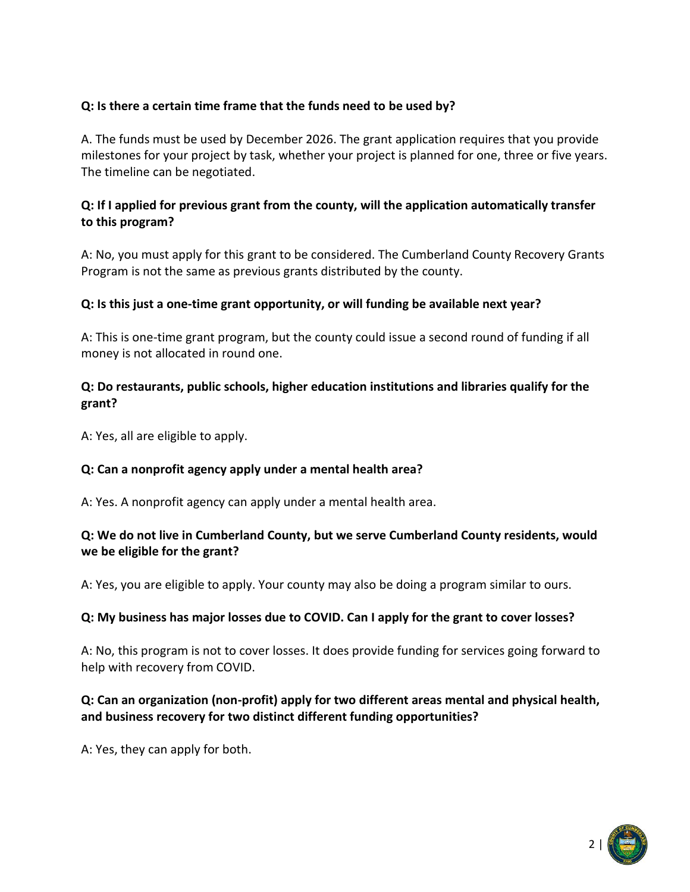# **Q: Is there a certain time frame that the funds need to be used by?**

A. The funds must be used by December 2026. The grant application requires that you provide milestones for your project by task, whether your project is planned for one, three or five years. The timeline can be negotiated.

# **Q: If I applied for previous grant from the county, will the application automatically transfer to this program?**

A: No, you must apply for this grant to be considered. The Cumberland County Recovery Grants Program is not the same as previous grants distributed by the county.

### **Q: Is this just a one-time grant opportunity, or will funding be available next year?**

A: This is one-time grant program, but the county could issue a second round of funding if all money is not allocated in round one.

### **Q: Do restaurants, public schools, higher education institutions and libraries qualify for the grant?**

A: Yes, all are eligible to apply.

### **Q: Can a nonprofit agency apply under a mental health area?**

A: Yes. A nonprofit agency can apply under a mental health area.

### **Q: We do not live in Cumberland County, but we serve Cumberland County residents, would we be eligible for the grant?**

A: Yes, you are eligible to apply. Your county may also be doing a program similar to ours.

### **Q: My business has major losses due to COVID. Can I apply for the grant to cover losses?**

A: No, this program is not to cover losses. It does provide funding for services going forward to help with recovery from COVID.

## **Q: Can an organization (non-profit) apply for two different areas mental and physical health, and business recovery for two distinct different funding opportunities?**

A: Yes, they can apply for both.